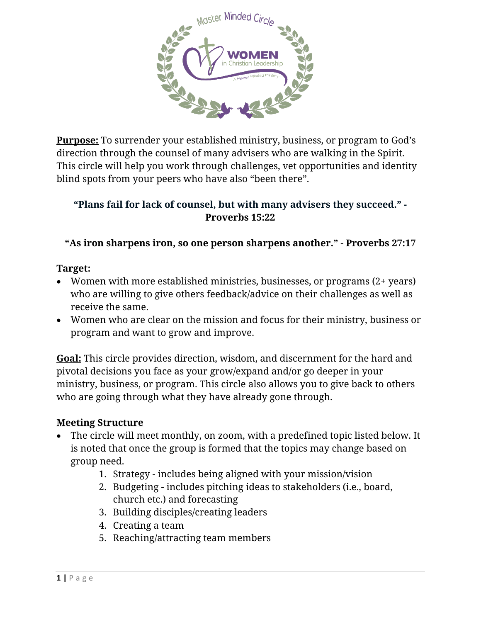

**Purpose:** To surrender your established ministry, business, or program to God's direction through the counsel of many advisers who are walking in the Spirit. This circle will help you work through challenges, vet opportunities and identity blind spots from your peers who have also "been there".

## **"Plans fail for lack of counsel, but with many advisers they succeed." - Proverbs 15:22**

**"As iron sharpens iron, so one person sharpens another." - Proverbs 27:17**

## **Target:**

- Women with more established ministries, businesses, or programs (2+ years) who are willing to give others feedback/advice on their challenges as well as receive the same.
- Women who are clear on the mission and focus for their ministry, business or program and want to grow and improve.

**Goal:** This circle provides direction, wisdom, and discernment for the hard and pivotal decisions you face as your grow/expand and/or go deeper in your ministry, business, or program. This circle also allows you to give back to others who are going through what they have already gone through.

## **Meeting Structure**

- The circle will meet monthly, on zoom, with a predefined topic listed below. It is noted that once the group is formed that the topics may change based on group need.
	- 1. Strategy includes being aligned with your mission/vision
	- 2. Budgeting includes pitching ideas to stakeholders (i.e., board, church etc.) and forecasting
	- 3. Building disciples/creating leaders
	- 4. Creating a team
	- 5. Reaching/attracting team members